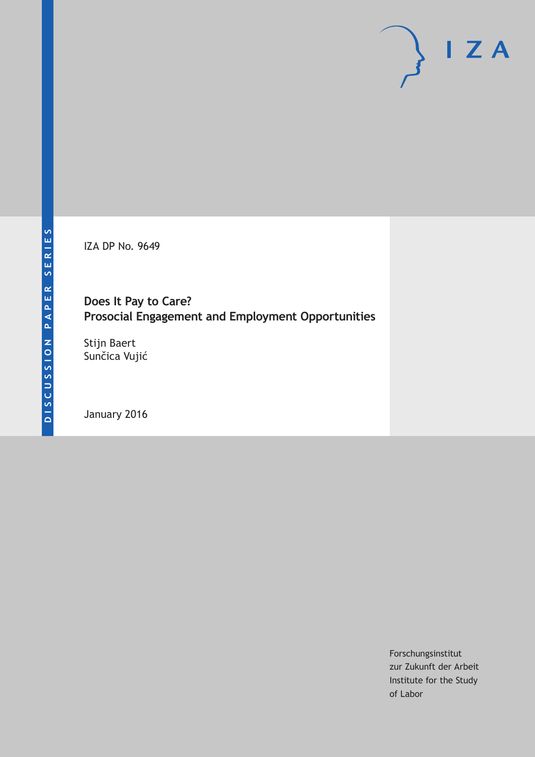IZA DP No. 9649

## **Does It Pay to Care? Prosocial Engagement and Employment Opportunities**

Stijn Baert Sunčica Vujić

January 2016

Forschungsinstitut zur Zukunft der Arbeit Institute for the Study of Labor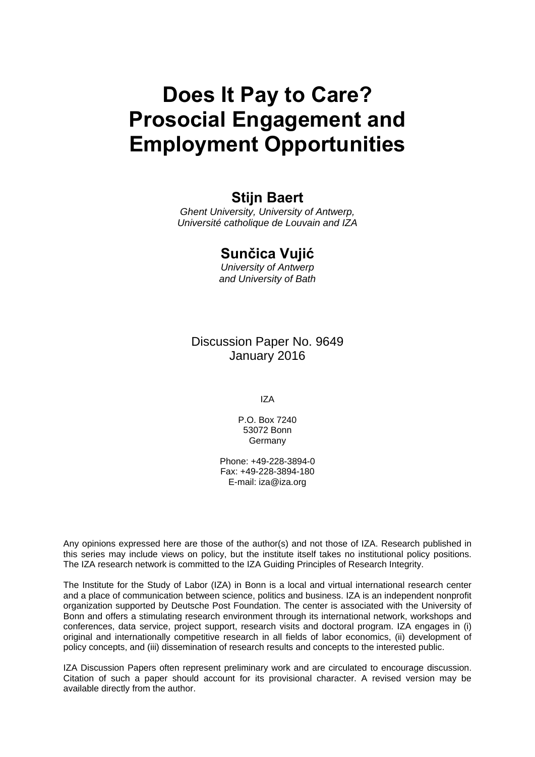# **Does It Pay to Care? Prosocial Engagement and Employment Opportunities**

### **Stijn Baert**

*Ghent University, University of Antwerp, Université catholique de Louvain and IZA* 

### **Sunčica Vujić**

*University of Antwerp and University of Bath* 

Discussion Paper No. 9649 January 2016

IZA

P.O. Box 7240 53072 Bonn **Germany** 

Phone: +49-228-3894-0 Fax: +49-228-3894-180 E-mail: iza@iza.org

Any opinions expressed here are those of the author(s) and not those of IZA. Research published in this series may include views on policy, but the institute itself takes no institutional policy positions. The IZA research network is committed to the IZA Guiding Principles of Research Integrity.

The Institute for the Study of Labor (IZA) in Bonn is a local and virtual international research center and a place of communication between science, politics and business. IZA is an independent nonprofit organization supported by Deutsche Post Foundation. The center is associated with the University of Bonn and offers a stimulating research environment through its international network, workshops and conferences, data service, project support, research visits and doctoral program. IZA engages in (i) original and internationally competitive research in all fields of labor economics, (ii) development of policy concepts, and (iii) dissemination of research results and concepts to the interested public.

IZA Discussion Papers often represent preliminary work and are circulated to encourage discussion. Citation of such a paper should account for its provisional character. A revised version may be available directly from the author.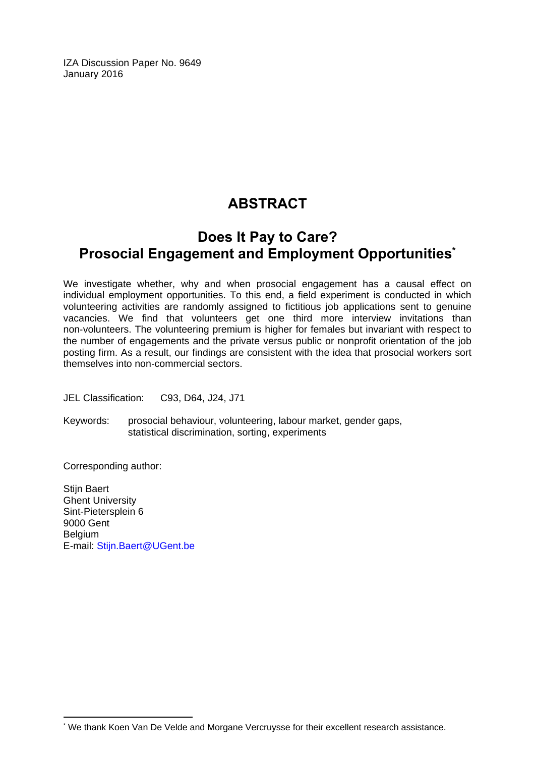IZA Discussion Paper No. 9649 January 2016

# **ABSTRACT**

# **Does It Pay to Care? Prosocial Engagement and Employment Opportunities\***

We investigate whether, why and when prosocial engagement has a causal effect on individual employment opportunities. To this end, a field experiment is conducted in which volunteering activities are randomly assigned to fictitious job applications sent to genuine vacancies. We find that volunteers get one third more interview invitations than non‐volunteers. The volunteering premium is higher for females but invariant with respect to the number of engagements and the private versus public or nonprofit orientation of the job posting firm. As a result, our findings are consistent with the idea that prosocial workers sort themselves into non‐commercial sectors.

JEL Classification: C93, D64, J24, J71

Keywords: prosocial behaviour, volunteering, labour market, gender gaps, statistical discrimination, sorting, experiments

Corresponding author:

 $\overline{a}$ 

Stiin Baert Ghent University Sint-Pietersplein 6 9000 Gent Belgium E-mail: Stijn.Baert@UGent.be

<sup>\*</sup> We thank Koen Van De Velde and Morgane Vercruysse for their excellent research assistance.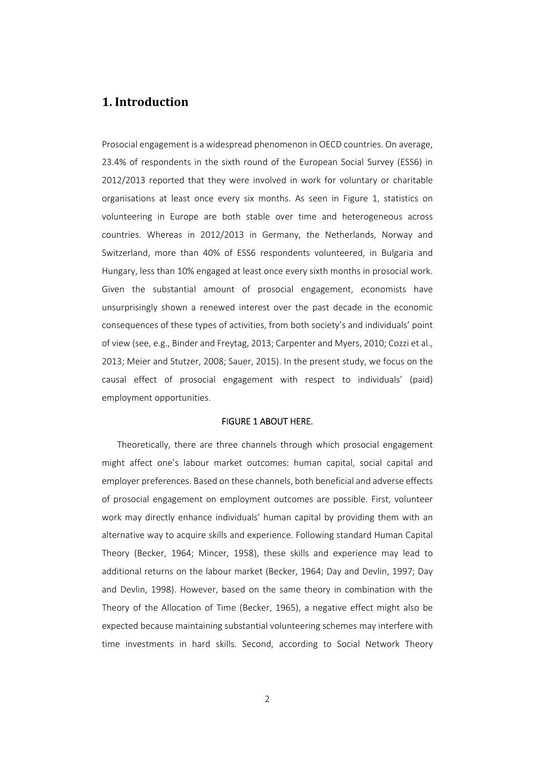### **1. Introduction**

Prosocial engagement is a widespread phenomenon in OECD countries. On average, 23.4% of respondents in the sixth round of the European Social Survey (ESS6) in 2012/2013 reported that they were involved in work for voluntary or charitable organisations at least once every six months. As seen in Figure 1, statistics on volunteering in Europe are both stable over time and heterogeneous across countries. Whereas in 2012/2013 in Germany, the Netherlands, Norway and Switzerland, more than 40% of ESS6 respondents volunteered, in Bulgaria and Hungary, less than 10% engaged at least once every sixth months in prosocial work. Given the substantial amount of prosocial engagement, economists have unsurprisingly shown a renewed interest over the past decade in the economic consequences of these types of activities, from both society's and individuals' point of view (see, e.g., Binder and Freytag, 2013; Carpenter and Myers, 2010; Cozzi et al., 2013; Meier and Stutzer, 2008; Sauer, 2015). In the present study, we focus on the causal effect of prosocial engagement with respect to individuals' (paid) employment opportunities.

### FIGURE 1 ABOUT HERE.

Theoretically, there are three channels through which prosocial engagement might affect one's labour market outcomes: human capital, social capital and employer preferences. Based on these channels, both beneficial and adverse effects of prosocial engagement on employment outcomes are possible. First, volunteer work may directly enhance individuals' human capital by providing them with an alternative way to acquire skills and experience. Following standard Human Capital Theory (Becker, 1964; Mincer, 1958), these skills and experience may lead to additional returns on the labour market (Becker, 1964; Day and Devlin, 1997; Day and Devlin, 1998). However, based on the same theory in combination with the Theory of the Allocation of Time (Becker, 1965), a negative effect might also be expected because maintaining substantial volunteering schemes may interfere with time investments in hard skills. Second, according to Social Network Theory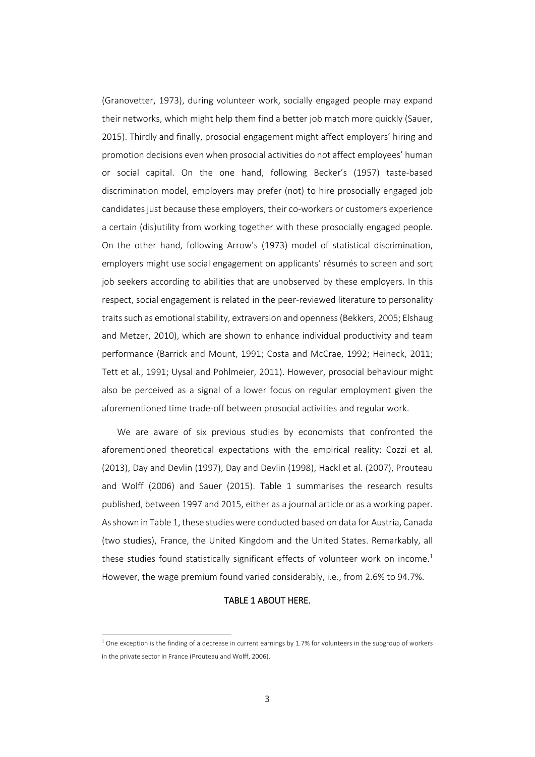(Granovetter, 1973), during volunteer work, socially engaged people may expand their networks, which might help them find a better job match more quickly (Sauer, 2015). Thirdly and finally, prosocial engagement might affect employers' hiring and promotion decisions even when prosocial activities do not affect employees' human or social capital. On the one hand, following Becker's (1957) taste‐based discrimination model, employers may prefer (not) to hire prosocially engaged job candidates just because these employers, their co‐workers or customers experience a certain (dis)utility from working together with these prosocially engaged people. On the other hand, following Arrow's (1973) model of statistical discrimination, employers might use social engagement on applicants' résumés to screen and sort job seekers according to abilities that are unobserved by these employers. In this respect, social engagement is related in the peer-reviewed literature to personality traits such as emotional stability, extraversion and openness (Bekkers, 2005; Elshaug and Metzer, 2010), which are shown to enhance individual productivity and team performance (Barrick and Mount, 1991; Costa and McCrae, 1992; Heineck, 2011; Tett et al., 1991; Uysal and Pohlmeier, 2011). However, prosocial behaviour might also be perceived as a signal of a lower focus on regular employment given the aforementioned time trade‐off between prosocial activities and regular work.

We are aware of six previous studies by economists that confronted the aforementioned theoretical expectations with the empirical reality: Cozzi et al. (2013), Day and Devlin (1997), Day and Devlin (1998), Hackl et al. (2007), Prouteau and Wolff (2006) and Sauer (2015). Table 1 summarises the research results published, between 1997 and 2015, either as a journal article or as a working paper. As shown in Table 1, these studies were conducted based on data for Austria, Canada (two studies), France, the United Kingdom and the United States. Remarkably, all these studies found statistically significant effects of volunteer work on income.<sup>1</sup> However, the wage premium found varied considerably, i.e., from 2.6% to 94.7%.

#### TABLE 1 ABOUT HERE.

 $1$  One exception is the finding of a decrease in current earnings by 1.7% for volunteers in the subgroup of workers in the private sector in France (Prouteau and Wolff, 2006).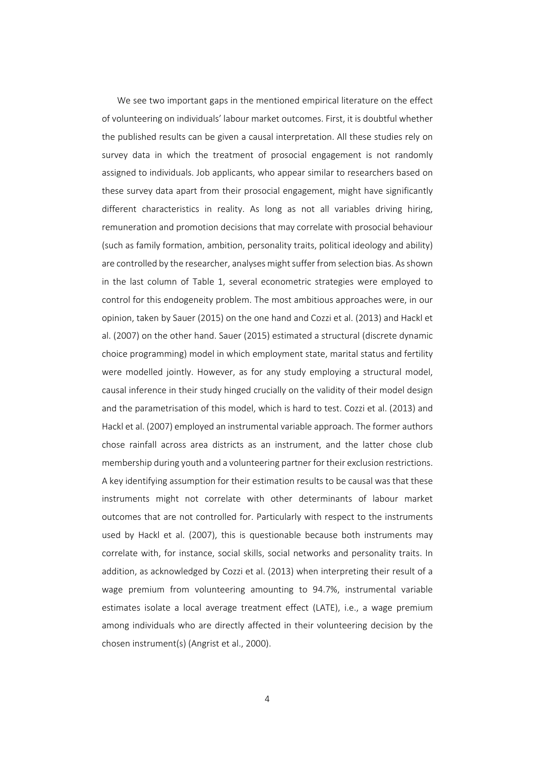We see two important gaps in the mentioned empirical literature on the effect of volunteering on individuals' labour market outcomes. First, it is doubtful whether the published results can be given a causal interpretation. All these studies rely on survey data in which the treatment of prosocial engagement is not randomly assigned to individuals. Job applicants, who appear similar to researchers based on these survey data apart from their prosocial engagement, might have significantly different characteristics in reality. As long as not all variables driving hiring, remuneration and promotion decisions that may correlate with prosocial behaviour (such as family formation, ambition, personality traits, political ideology and ability) are controlled by the researcher, analyses might suffer from selection bias. As shown in the last column of Table 1, several econometric strategies were employed to control for this endogeneity problem. The most ambitious approaches were, in our opinion, taken by Sauer (2015) on the one hand and Cozzi et al. (2013) and Hackl et al. (2007) on the other hand. Sauer (2015) estimated a structural (discrete dynamic choice programming) model in which employment state, marital status and fertility were modelled jointly. However, as for any study employing a structural model, causal inference in their study hinged crucially on the validity of their model design and the parametrisation of this model, which is hard to test. Cozzi et al. (2013) and Hackl et al. (2007) employed an instrumental variable approach. The former authors chose rainfall across area districts as an instrument, and the latter chose club membership during youth and a volunteering partner for their exclusion restrictions. A key identifying assumption for their estimation results to be causal was that these instruments might not correlate with other determinants of labour market outcomes that are not controlled for. Particularly with respect to the instruments used by Hackl et al. (2007), this is questionable because both instruments may correlate with, for instance, social skills, social networks and personality traits. In addition, as acknowledged by Cozzi et al. (2013) when interpreting their result of a wage premium from volunteering amounting to 94.7%, instrumental variable estimates isolate a local average treatment effect (LATE), i.e., a wage premium among individuals who are directly affected in their volunteering decision by the chosen instrument(s) (Angrist et al., 2000).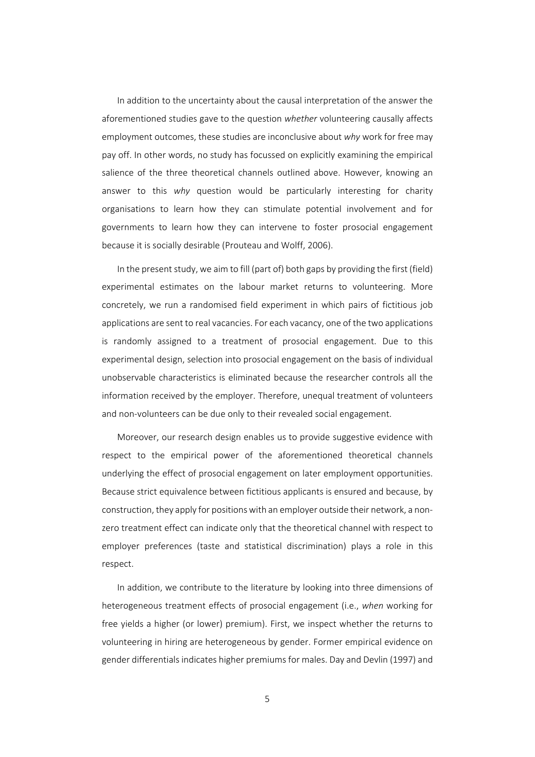In addition to the uncertainty about the causal interpretation of the answer the aforementioned studies gave to the question *whether* volunteering causally affects employment outcomes, these studies are inconclusive about *why* work for free may pay off. In other words, no study has focussed on explicitly examining the empirical salience of the three theoretical channels outlined above. However, knowing an answer to this *why* question would be particularly interesting for charity organisations to learn how they can stimulate potential involvement and for governments to learn how they can intervene to foster prosocial engagement because it is socially desirable (Prouteau and Wolff, 2006).

In the present study, we aim to fill (part of) both gaps by providing the first (field) experimental estimates on the labour market returns to volunteering. More concretely, we run a randomised field experiment in which pairs of fictitious job applications are sent to real vacancies. For each vacancy, one of the two applications is randomly assigned to a treatment of prosocial engagement. Due to this experimental design, selection into prosocial engagement on the basis of individual unobservable characteristics is eliminated because the researcher controls all the information received by the employer. Therefore, unequal treatment of volunteers and non‐volunteers can be due only to their revealed social engagement.

Moreover, our research design enables us to provide suggestive evidence with respect to the empirical power of the aforementioned theoretical channels underlying the effect of prosocial engagement on later employment opportunities. Because strict equivalence between fictitious applicants is ensured and because, by construction, they apply for positions with an employer outside their network, a nonzero treatment effect can indicate only that the theoretical channel with respect to employer preferences (taste and statistical discrimination) plays a role in this respect.

In addition, we contribute to the literature by looking into three dimensions of heterogeneous treatment effects of prosocial engagement (i.e., *when* working for free yields a higher (or lower) premium). First, we inspect whether the returns to volunteering in hiring are heterogeneous by gender. Former empirical evidence on gender differentials indicates higher premiums for males. Day and Devlin (1997) and

5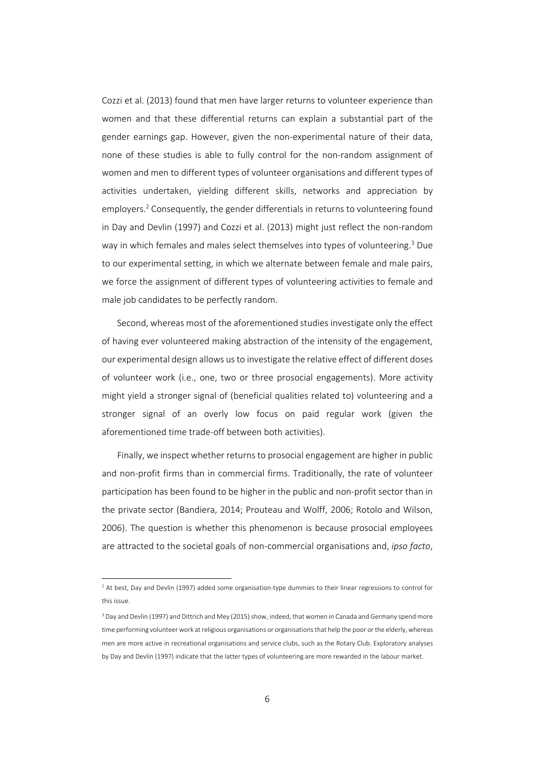Cozzi et al. (2013) found that men have larger returns to volunteer experience than women and that these differential returns can explain a substantial part of the gender earnings gap. However, given the non-experimental nature of their data, none of these studies is able to fully control for the non-random assignment of women and men to different types of volunteer organisations and different types of activities undertaken, yielding different skills, networks and appreciation by employers.<sup>2</sup> Consequently, the gender differentials in returns to volunteering found in Day and Devlin (1997) and Cozzi et al. (2013) might just reflect the non-random way in which females and males select themselves into types of volunteering.<sup>3</sup> Due to our experimental setting, in which we alternate between female and male pairs, we force the assignment of different types of volunteering activities to female and male job candidates to be perfectly random.

Second, whereas most of the aforementioned studies investigate only the effect of having ever volunteered making abstraction of the intensity of the engagement, our experimental design allows usto investigate the relative effect of different doses of volunteer work (i.e., one, two or three prosocial engagements). More activity might yield a stronger signal of (beneficial qualities related to) volunteering and a stronger signal of an overly low focus on paid regular work (given the aforementioned time trade‐off between both activities).

Finally, we inspect whether returns to prosocial engagement are higher in public and non‐profit firms than in commercial firms. Traditionally, the rate of volunteer participation has been found to be higher in the public and non‐profit sector than in the private sector (Bandiera, 2014; Prouteau and Wolff, 2006; Rotolo and Wilson, 2006). The question is whether this phenomenon is because prosocial employees are attracted to the societal goals of non‐commercial organisations and, *ipso facto*,

<sup>&</sup>lt;sup>2</sup> At best, Day and Devlin (1997) added some organisation-type dummies to their linear regressions to control for this issue.

<sup>&</sup>lt;sup>3</sup> Day and Devlin (1997) and Dittrich and Mey (2015) show, indeed, that women in Canada and Germany spend more time performing volunteer work at religious organisations or organisations that help the poor or the elderly, whereas men are more active in recreational organisations and service clubs, such as the Rotary Club. Exploratory analyses by Day and Devlin (1997) indicate that the latter types of volunteering are more rewarded in the labour market.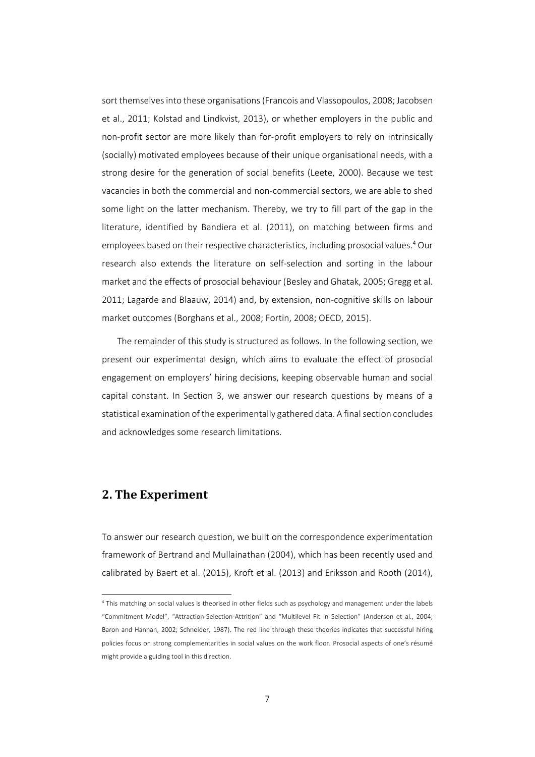sort themselves into these organisations (Francois and Vlassopoulos, 2008; Jacobsen et al., 2011; Kolstad and Lindkvist, 2013), or whether employers in the public and non‐profit sector are more likely than for‐profit employers to rely on intrinsically (socially) motivated employees because of their unique organisational needs, with a strong desire for the generation of social benefits (Leete, 2000). Because we test vacancies in both the commercial and non‐commercial sectors, we are able to shed some light on the latter mechanism. Thereby, we try to fill part of the gap in the literature, identified by Bandiera et al. (2011), on matching between firms and employees based on their respective characteristics, including prosocial values.4 Our research also extends the literature on self‐selection and sorting in the labour market and the effects of prosocial behaviour (Besley and Ghatak, 2005; Gregg et al. 2011; Lagarde and Blaauw, 2014) and, by extension, non‐cognitive skills on labour market outcomes (Borghans et al., 2008; Fortin, 2008; OECD, 2015).

The remainder of this study is structured as follows. In the following section, we present our experimental design, which aims to evaluate the effect of prosocial engagement on employers' hiring decisions, keeping observable human and social capital constant. In Section 3, we answer our research questions by means of a statistical examination of the experimentally gathered data. A final section concludes and acknowledges some research limitations.

### **2. The Experiment**

l

To answer our research question, we built on the correspondence experimentation framework of Bertrand and Mullainathan (2004), which has been recently used and calibrated by Baert et al. (2015), Kroft et al. (2013) and Eriksson and Rooth (2014),

<sup>4</sup> This matching on social values is theorised in other fields such as psychology and management under the labels "Commitment Model", "Attraction‐Selection‐Attrition" and "Multilevel Fit in Selection" (Anderson et al., 2004; Baron and Hannan, 2002; Schneider, 1987). The red line through these theories indicates that successful hiring policies focus on strong complementarities in social values on the work floor. Prosocial aspects of one's résumé might provide a guiding tool in this direction.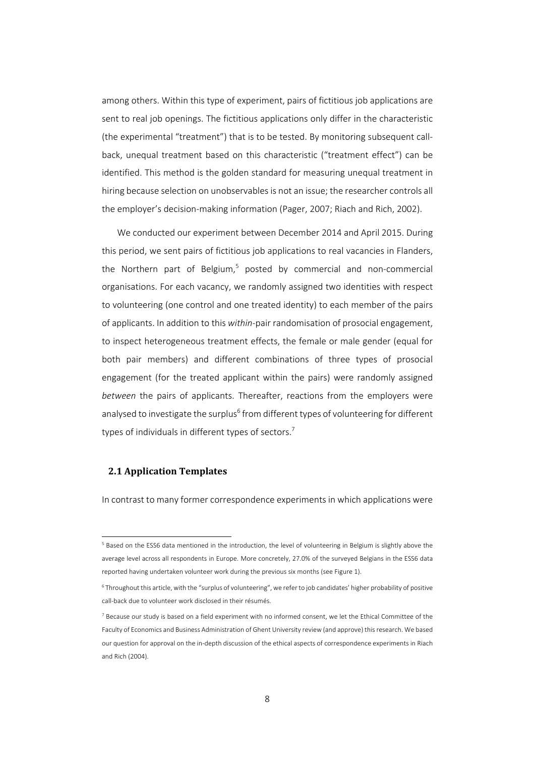among others. Within this type of experiment, pairs of fictitious job applications are sent to real job openings. The fictitious applications only differ in the characteristic (the experimental "treatment") that is to be tested. By monitoring subsequent call‐ back, unequal treatment based on this characteristic ("treatment effect") can be identified. This method is the golden standard for measuring unequal treatment in hiring because selection on unobservables is not an issue; the researcher controls all the employer's decision‐making information (Pager, 2007; Riach and Rich, 2002).

We conducted our experiment between December 2014 and April 2015. During this period, we sent pairs of fictitious job applications to real vacancies in Flanders, the Northern part of Belgium,<sup>5</sup> posted by commercial and non-commercial organisations. For each vacancy, we randomly assigned two identities with respect to volunteering (one control and one treated identity) to each member of the pairs of applicants. In addition to this *within*‐pair randomisation of prosocial engagement, to inspect heterogeneous treatment effects, the female or male gender (equal for both pair members) and different combinations of three types of prosocial engagement (for the treated applicant within the pairs) were randomly assigned *between* the pairs of applicants. Thereafter, reactions from the employers were analysed to investigate the surplus<sup>6</sup> from different types of volunteering for different types of individuals in different types of sectors.<sup>7</sup>

### **2.1 Application Templates**

l

In contrast to many former correspondence experiments in which applications were

<sup>&</sup>lt;sup>5</sup> Based on the ESS6 data mentioned in the introduction, the level of volunteering in Belgium is slightly above the average level across all respondents in Europe. More concretely, 27.0% of the surveyed Belgians in the ESS6 data reported having undertaken volunteer work during the previous six months (see Figure 1).

<sup>6</sup> Throughout this article, with the "surplus of volunteering", we refer to job candidates' higher probability of positive call‐back due to volunteer work disclosed in their résumés.

 $7$  Because our study is based on a field experiment with no informed consent, we let the Ethical Committee of the Faculty of Economics and Business Administration of Ghent University review (and approve) thisresearch. We based our question for approval on the in‐depth discussion of the ethical aspects of correspondence experiments in Riach and Rich (2004).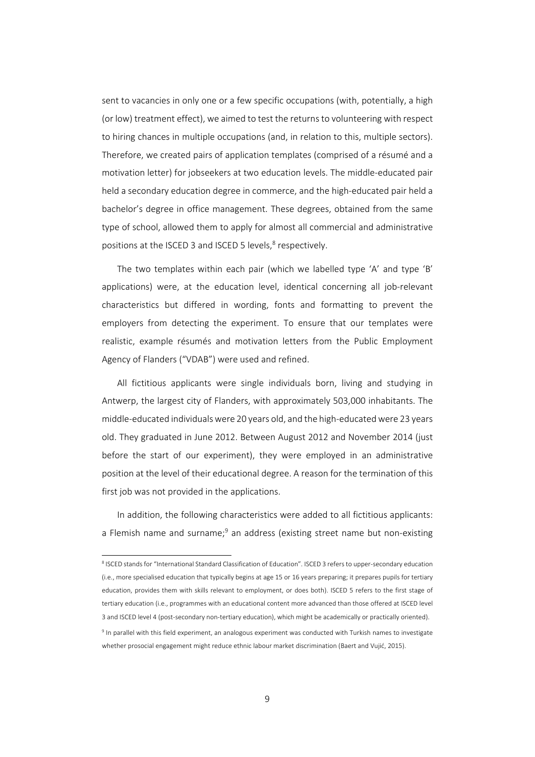sent to vacancies in only one or a few specific occupations (with, potentially, a high (or low) treatment effect), we aimed to test the returns to volunteering with respect to hiring chances in multiple occupations (and, in relation to this, multiple sectors). Therefore, we created pairs of application templates (comprised of a résumé and a motivation letter) for jobseekers at two education levels. The middle‐educated pair held a secondary education degree in commerce, and the high-educated pair held a bachelor's degree in office management. These degrees, obtained from the same type of school, allowed them to apply for almost all commercial and administrative positions at the ISCED 3 and ISCED 5 levels,<sup>8</sup> respectively.

The two templates within each pair (which we labelled type 'A' and type 'B' applications) were, at the education level, identical concerning all job-relevant characteristics but differed in wording, fonts and formatting to prevent the employers from detecting the experiment. To ensure that our templates were realistic, example résumés and motivation letters from the Public Employment Agency of Flanders ("VDAB") were used and refined.

All fictitious applicants were single individuals born, living and studying in Antwerp, the largest city of Flanders, with approximately 503,000 inhabitants. The middle-educated individuals were 20 years old, and the high-educated were 23 years old. They graduated in June 2012. Between August 2012 and November 2014 (just before the start of our experiment), they were employed in an administrative position at the level of their educational degree. A reason for the termination of this first job was not provided in the applications.

In addition, the following characteristics were added to all fictitious applicants: a Flemish name and surname;<sup>9</sup> an address (existing street name but non-existing

<sup>8</sup> ISCED stands for "International Standard Classification of Education". ISCED 3 refers to upper-secondary education (i.e., more specialised education that typically begins at age 15 or 16 years preparing; it prepares pupils for tertiary education, provides them with skills relevant to employment, or does both). ISCED 5 refers to the first stage of tertiary education (i.e., programmes with an educational content more advanced than those offered at ISCED level 3 and ISCED level 4 (post‐secondary non‐tertiary education), which might be academically or practically oriented).

<sup>9</sup> In parallel with this field experiment, an analogous experiment was conducted with Turkish names to investigate whether prosocial engagement might reduce ethnic labour market discrimination (Baert and Vujić, 2015).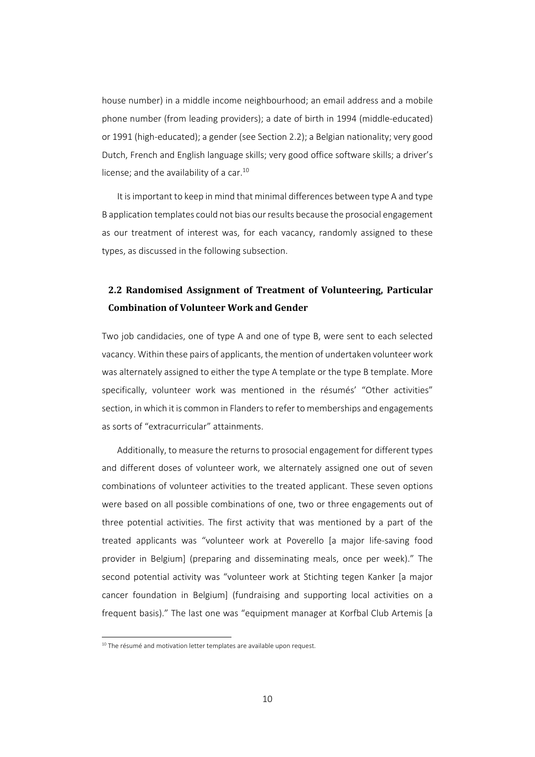house number) in a middle income neighbourhood; an email address and a mobile phone number (from leading providers); a date of birth in 1994 (middle‐educated) or 1991 (high‐educated); a gender (see Section 2.2); a Belgian nationality; very good Dutch, French and English language skills; very good office software skills; a driver's license; and the availability of a car.<sup>10</sup>

It isimportant to keep in mind that minimal differences between type A and type B application templates could not bias our results because the prosocial engagement as our treatment of interest was, for each vacancy, randomly assigned to these types, as discussed in the following subsection.

### **2.2 Randomised Assignment of Treatment of Volunteering, Particular Combination of Volunteer Work and Gender**

Two job candidacies, one of type A and one of type B, were sent to each selected vacancy. Within these pairs of applicants, the mention of undertaken volunteer work was alternately assigned to either the type A template or the type B template. More specifically, volunteer work was mentioned in the résumés' "Other activities" section, in which it is common in Flanders to refer to memberships and engagements as sorts of "extracurricular" attainments.

Additionally, to measure the returns to prosocial engagement for different types and different doses of volunteer work, we alternately assigned one out of seven combinations of volunteer activities to the treated applicant. These seven options were based on all possible combinations of one, two or three engagements out of three potential activities. The first activity that was mentioned by a part of the treated applicants was "volunteer work at Poverello [a major life‐saving food provider in Belgium] (preparing and disseminating meals, once per week)." The second potential activity was "volunteer work at Stichting tegen Kanker [a major cancer foundation in Belgium] (fundraising and supporting local activities on a frequent basis)." The last one was "equipment manager at Korfbal Club Artemis [a

<sup>&</sup>lt;sup>10</sup> The résumé and motivation letter templates are available upon request.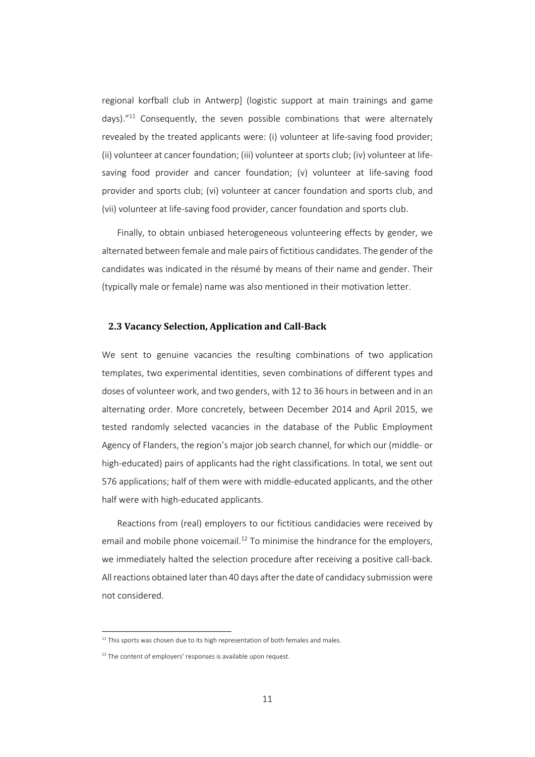regional korfball club in Antwerp] (logistic support at main trainings and game days)."<sup>11</sup> Consequently, the seven possible combinations that were alternately revealed by the treated applicants were: (i) volunteer at life-saving food provider; (ii) volunteer at cancer foundation; (iii) volunteer at sports club; (iv) volunteer at life‐ saving food provider and cancer foundation; (v) volunteer at life-saving food provider and sports club; (vi) volunteer at cancer foundation and sports club, and (vii) volunteer at life‐saving food provider, cancer foundation and sports club.

Finally, to obtain unbiased heterogeneous volunteering effects by gender, we alternated between female and male pairs of fictitious candidates. The gender of the candidates was indicated in the résumé by means of their name and gender. Their (typically male or female) name was also mentioned in their motivation letter.

### **2.3 Vacancy Selection, Application and Call‐Back**

We sent to genuine vacancies the resulting combinations of two application templates, two experimental identities, seven combinations of different types and doses of volunteer work, and two genders, with 12 to 36 hours in between and in an alternating order. More concretely, between December 2014 and April 2015, we tested randomly selected vacancies in the database of the Public Employment Agency of Flanders, the region's major job search channel, for which our (middle‐ or high-educated) pairs of applicants had the right classifications. In total, we sent out 576 applications; half of them were with middle‐educated applicants, and the other half were with high‐educated applicants.

Reactions from (real) employers to our fictitious candidacies were received by email and mobile phone voicemail.<sup>12</sup> To minimise the hindrance for the employers, we immediately halted the selection procedure after receiving a positive call-back. All reactions obtained later than 40 days after the date of candidacy submissionwere not considered.

 $11$  This sports was chosen due to its high representation of both females and males.

 $12$  The content of employers' responses is available upon request.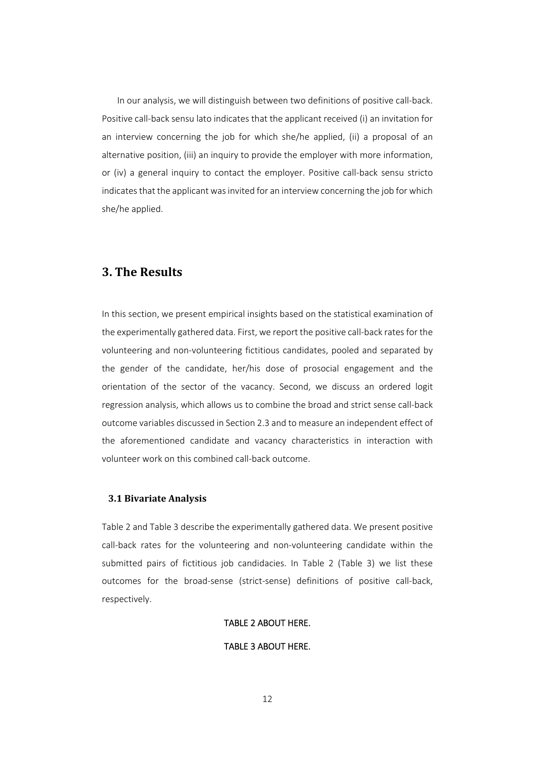In our analysis, we will distinguish between two definitions of positive call-back. Positive call‐back sensu lato indicates that the applicant received (i) an invitation for an interview concerning the job for which she/he applied, (ii) a proposal of an alternative position, (iii) an inquiry to provide the employer with more information, or (iv) a general inquiry to contact the employer. Positive call‐back sensu stricto indicates that the applicant was invited for an interview concerning the job for which she/he applied.

### **3. The Results**

In this section, we present empirical insights based on the statistical examination of the experimentally gathered data. First, we report the positive call‐back ratesfor the volunteering and non‐volunteering fictitious candidates, pooled and separated by the gender of the candidate, her/his dose of prosocial engagement and the orientation of the sector of the vacancy. Second, we discuss an ordered logit regression analysis, which allows us to combine the broad and strict sense call‐back outcome variables discussed in Section 2.3 and to measure an independent effect of the aforementioned candidate and vacancy characteristics in interaction with volunteer work on this combined call‐back outcome.

### **3.1 Bivariate Analysis**

Table 2 and Table 3 describe the experimentally gathered data. We present positive call‐back rates for the volunteering and non‐volunteering candidate within the submitted pairs of fictitious job candidacies. In Table 2 (Table 3) we list these outcomes for the broad‐sense (strict‐sense) definitions of positive call‐back, respectively.

#### TABLE 2 ABOUT HERE.

### TABLE 3 ABOUT HERE.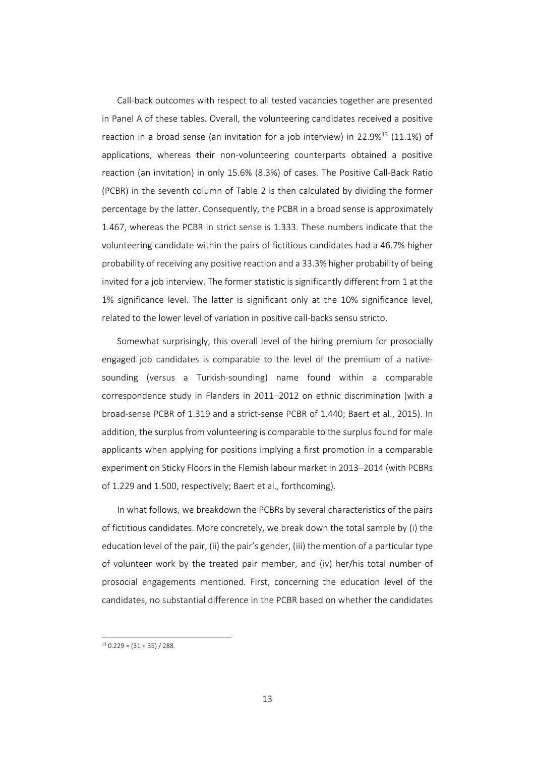Call-back outcomes with respect to all tested vacancies together are presented in Panel A of these tables. Overall, the volunteering candidates received a positive reaction in a broad sense (an invitation for a job interview) in 22.9%<sup>13</sup> (11.1%) of applications, whereas their non‐volunteering counterparts obtained a positive reaction (an invitation) in only 15.6% (8.3%) of cases. The Positive Call‐Back Ratio (PCBR) in the seventh column of Table 2 is then calculated by dividing the former percentage by the latter. Consequently, the PCBR in a broad sense is approximately 1.467, whereas the PCBR in strict sense is 1.333. These numbers indicate that the volunteering candidate within the pairs of fictitious candidates had a 46.7% higher probability of receiving any positive reaction and a 33.3% higher probability of being invited for a job interview. The former statistic is significantly different from 1 at the 1% significance level. The latter is significant only at the 10% significance level, related to the lower level of variation in positive call‐backs sensu stricto.

Somewhat surprisingly, this overall level of the hiring premium for prosocially engaged job candidates is comparable to the level of the premium of a native‐ sounding (versus a Turkish‐sounding) name found within a comparable correspondence study in Flanders in 2011–2012 on ethnic discrimination (with a broad‐sense PCBR of 1.319 and a strict‐sense PCBR of 1.440; Baert et al., 2015). In addition, the surplus from volunteering is comparable to the surplus found for male applicants when applying for positions implying a first promotion in a comparable experiment on Sticky Floors in the Flemish labour market in 2013–2014 (with PCBRs of 1.229 and 1.500, respectively; Baert et al., forthcoming).

In what follows, we breakdown the PCBRs by several characteristics of the pairs of fictitious candidates. More concretely, we break down the total sample by (i) the education level of the pair, (ii) the pair's gender, (iii) the mention of a particular type of volunteer work by the treated pair member, and (iv) her/his total number of prosocial engagements mentioned. First, concerning the education level of the candidates, no substantial difference in the PCBR based on whether the candidates

 $13$  0.229 =  $(31 + 35)$  / 288.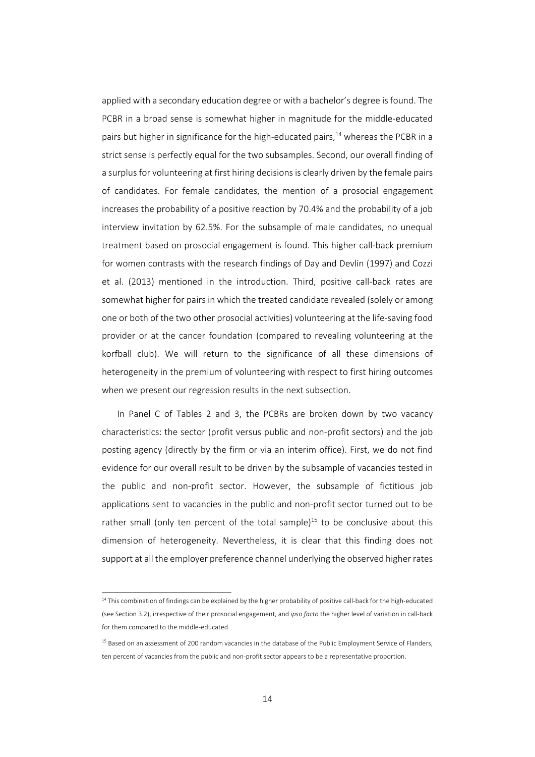applied with a secondary education degree or with a bachelor's degree isfound. The PCBR in a broad sense is somewhat higher in magnitude for the middle‐educated pairs but higher in significance for the high-educated pairs, $14$  whereas the PCBR in a strict sense is perfectly equal for the two subsamples. Second, our overall finding of a surplus for volunteering at first hiring decisions is clearly driven by the female pairs of candidates. For female candidates, the mention of a prosocial engagement increases the probability of a positive reaction by 70.4% and the probability of a job interview invitation by 62.5%. For the subsample of male candidates, no unequal treatment based on prosocial engagement is found. This higher call‐back premium for women contrasts with the research findings of Day and Devlin (1997) and Cozzi et al. (2013) mentioned in the introduction. Third, positive call-back rates are somewhat higher for pairs in which the treated candidate revealed (solely or among one or both of the two other prosocial activities) volunteering at the life‐saving food provider or at the cancer foundation (compared to revealing volunteering at the korfball club). We will return to the significance of all these dimensions of heterogeneity in the premium of volunteering with respect to first hiring outcomes when we present our regression results in the next subsection.

In Panel C of Tables 2 and 3, the PCBRs are broken down by two vacancy characteristics: the sector (profit versus public and non‐profit sectors) and the job posting agency (directly by the firm or via an interim office). First, we do not find evidence for our overall result to be driven by the subsample of vacancies tested in the public and non‐profit sector. However, the subsample of fictitious job applications sent to vacancies in the public and non-profit sector turned out to be rather small (only ten percent of the total sample)<sup>15</sup> to be conclusive about this dimension of heterogeneity. Nevertheless, it is clear that this finding does not support at all the employer preference channel underlying the observed higher rates

 $14$  This combination of findings can be explained by the higher probability of positive call-back for the high-educated (see Section 3.2), irrespective of their prosocial engagement, and *ipso facto* the higher level of variation in call‐back for them compared to the middle‐educated.

<sup>&</sup>lt;sup>15</sup> Based on an assessment of 200 random vacancies in the database of the Public Employment Service of Flanders, ten percent of vacancies from the public and non-profit sector appears to be a representative proportion.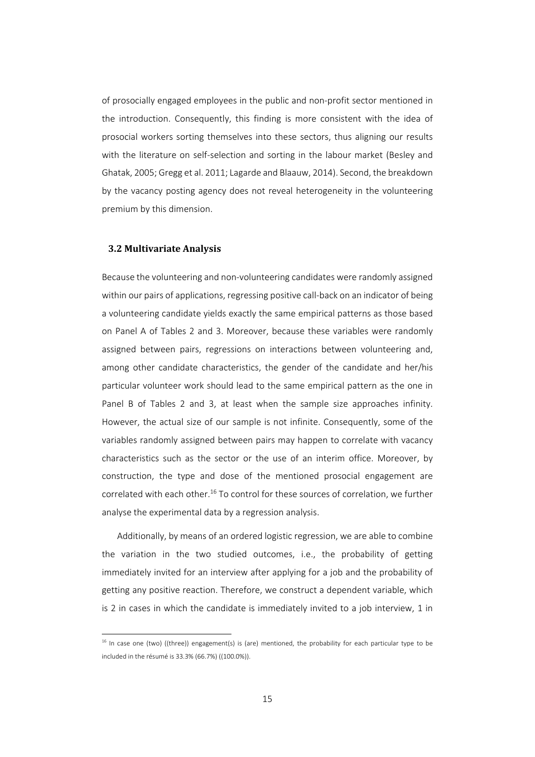of prosocially engaged employees in the public and non‐profit sector mentioned in the introduction. Consequently, this finding is more consistent with the idea of prosocial workers sorting themselves into these sectors, thus aligning our results with the literature on self-selection and sorting in the labour market (Besley and Ghatak, 2005; Gregg et al. 2011; Lagarde and Blaauw, 2014). Second, the breakdown by the vacancy posting agency does not reveal heterogeneity in the volunteering premium by this dimension.

#### **3.2 Multivariate Analysis**

l

Because the volunteering and non‐volunteering candidates were randomly assigned within our pairs of applications, regressing positive call-back on an indicator of being a volunteering candidate yields exactly the same empirical patterns as those based on Panel A of Tables 2 and 3. Moreover, because these variables were randomly assigned between pairs, regressions on interactions between volunteering and, among other candidate characteristics, the gender of the candidate and her/his particular volunteer work should lead to the same empirical pattern as the one in Panel B of Tables 2 and 3, at least when the sample size approaches infinity. However, the actual size of our sample is not infinite. Consequently, some of the variables randomly assigned between pairs may happen to correlate with vacancy characteristics such as the sector or the use of an interim office. Moreover, by construction, the type and dose of the mentioned prosocial engagement are correlated with each other.<sup>16</sup> To control for these sources of correlation, we further analyse the experimental data by a regression analysis.

Additionally, by means of an ordered logistic regression, we are able to combine the variation in the two studied outcomes, i.e., the probability of getting immediately invited for an interview after applying for a job and the probability of getting any positive reaction. Therefore, we construct a dependent variable, which is 2 in cases in which the candidate is immediately invited to a job interview, 1 in

<sup>&</sup>lt;sup>16</sup> In case one (two) ((three)) engagement(s) is (are) mentioned, the probability for each particular type to be included in the résumé is 33.3% (66.7%) ((100.0%)).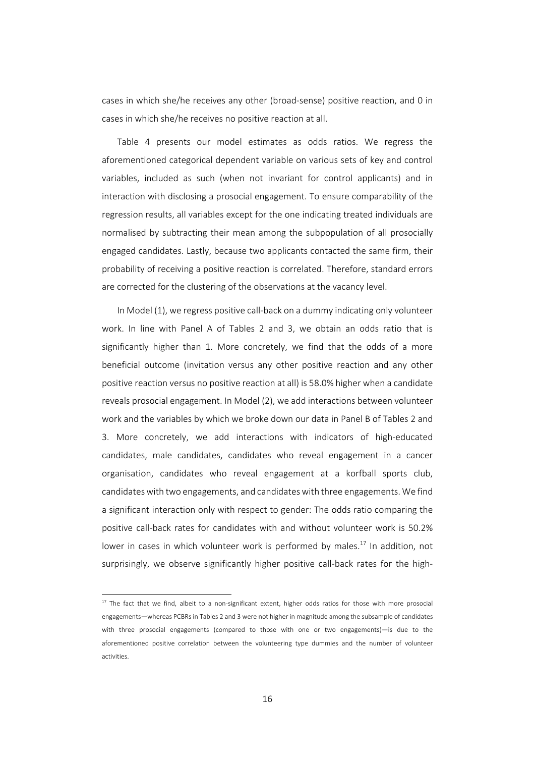cases in which she/he receives any other (broad‐sense) positive reaction, and 0 in cases in which she/he receives no positive reaction at all.

Table 4 presents our model estimates as odds ratios. We regress the aforementioned categorical dependent variable on various sets of key and control variables, included as such (when not invariant for control applicants) and in interaction with disclosing a prosocial engagement. To ensure comparability of the regression results, all variables except for the one indicating treated individuals are normalised by subtracting their mean among the subpopulation of all prosocially engaged candidates. Lastly, because two applicants contacted the same firm, their probability of receiving a positive reaction is correlated. Therefore, standard errors are corrected for the clustering of the observations at the vacancy level.

In Model (1), we regress positive call-back on a dummy indicating only volunteer work. In line with Panel A of Tables 2 and 3, we obtain an odds ratio that is significantly higher than 1. More concretely, we find that the odds of a more beneficial outcome (invitation versus any other positive reaction and any other positive reaction versus no positive reaction at all) is 58.0% higher when a candidate reveals prosocial engagement. In Model (2), we add interactions between volunteer work and the variables by which we broke down our data in Panel B of Tables 2 and 3. More concretely, we add interactions with indicators of high‐educated candidates, male candidates, candidates who reveal engagement in a cancer organisation, candidates who reveal engagement at a korfball sports club, candidateswith two engagements, and candidateswith three engagements. We find a significant interaction only with respect to gender: The odds ratio comparing the positive call‐back rates for candidates with and without volunteer work is 50.2% lower in cases in which volunteer work is performed by males.<sup>17</sup> In addition, not surprisingly, we observe significantly higher positive call-back rates for the high-

<sup>&</sup>lt;sup>17</sup> The fact that we find, albeit to a non-significant extent, higher odds ratios for those with more prosocial engagements—whereas PCBRs in Tables 2 and 3 were not higher in magnitude among the subsample of candidates with three prosocial engagements (compared to those with one or two engagements)—is due to the aforementioned positive correlation between the volunteering type dummies and the number of volunteer activities.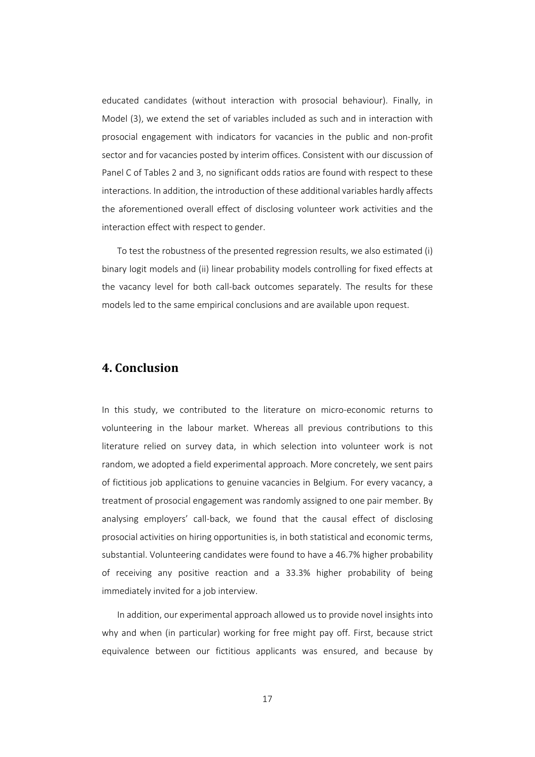educated candidates (without interaction with prosocial behaviour). Finally, in Model (3), we extend the set of variables included as such and in interaction with prosocial engagement with indicators for vacancies in the public and non‐profit sector and for vacancies posted by interim offices. Consistent with our discussion of Panel C of Tables 2 and 3, no significant odds ratios are found with respect to these interactions. In addition, the introduction of these additional variables hardly affects the aforementioned overall effect of disclosing volunteer work activities and the interaction effect with respect to gender.

To test the robustness of the presented regression results, we also estimated (i) binary logit models and (ii) linear probability models controlling for fixed effects at the vacancy level for both call‐back outcomes separately. The results for these models led to the same empirical conclusions and are available upon request.

### **4. Conclusion**

In this study, we contributed to the literature on micro‐economic returns to volunteering in the labour market. Whereas all previous contributions to this literature relied on survey data, in which selection into volunteer work is not random, we adopted a field experimental approach. More concretely, we sent pairs of fictitious job applications to genuine vacancies in Belgium. For every vacancy, a treatment of prosocial engagement was randomly assigned to one pair member. By analysing employers' call‐back, we found that the causal effect of disclosing prosocial activities on hiring opportunities is, in both statistical and economic terms, substantial. Volunteering candidates were found to have a 46.7% higher probability of receiving any positive reaction and a 33.3% higher probability of being immediately invited for a job interview.

In addition, our experimental approach allowed us to provide novel insights into why and when (in particular) working for free might pay off. First, because strict equivalence between our fictitious applicants was ensured, and because by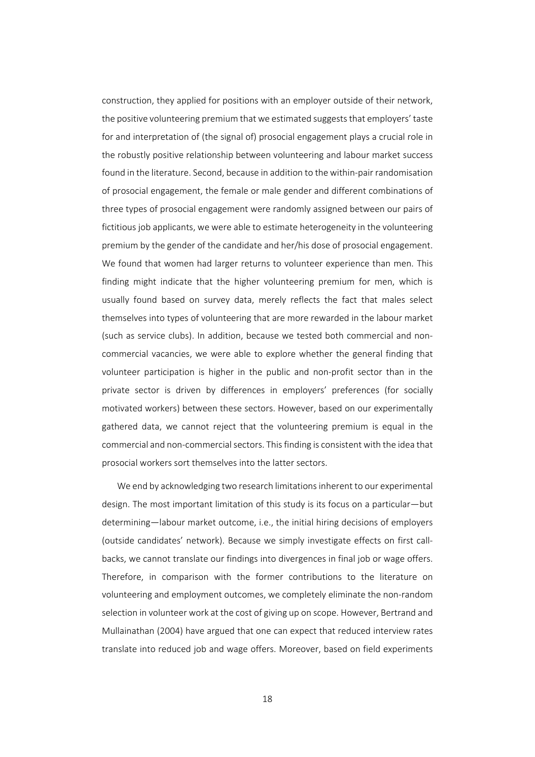construction, they applied for positions with an employer outside of their network, the positive volunteering premium that we estimated suggests that employers' taste for and interpretation of (the signal of) prosocial engagement plays a crucial role in the robustly positive relationship between volunteering and labour market success found in the literature. Second, because in addition to the within‐pair randomisation of prosocial engagement, the female or male gender and different combinations of three types of prosocial engagement were randomly assigned between our pairs of fictitious job applicants, we were able to estimate heterogeneity in the volunteering premium by the gender of the candidate and her/his dose of prosocial engagement. We found that women had larger returns to volunteer experience than men. This finding might indicate that the higher volunteering premium for men, which is usually found based on survey data, merely reflects the fact that males select themselves into types of volunteering that are more rewarded in the labour market (such as service clubs). In addition, because we tested both commercial and non‐ commercial vacancies, we were able to explore whether the general finding that volunteer participation is higher in the public and non-profit sector than in the private sector is driven by differences in employers' preferences (for socially motivated workers) between these sectors. However, based on our experimentally gathered data, we cannot reject that the volunteering premium is equal in the commercial and non-commercial sectors. This finding is consistent with the idea that prosocial workers sort themselves into the latter sectors.

We end by acknowledging two research limitations inherent to our experimental design. The most important limitation of this study is its focus on a particular—but determining—labour market outcome, i.e., the initial hiring decisions of employers (outside candidates' network). Because we simply investigate effects on first call‐ backs, we cannot translate our findings into divergences in final job or wage offers. Therefore, in comparison with the former contributions to the literature on volunteering and employment outcomes, we completely eliminate the non-random selection in volunteer work at the cost of giving up on scope. However, Bertrand and Mullainathan (2004) have argued that one can expect that reduced interview rates translate into reduced job and wage offers. Moreover, based on field experiments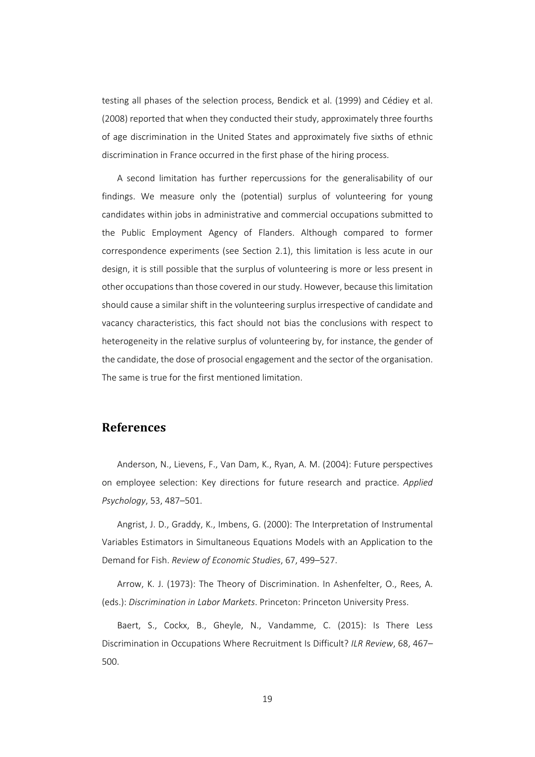testing all phases of the selection process, Bendick et al. (1999) and Cédiey et al. (2008) reported that when they conducted their study, approximately three fourths of age discrimination in the United States and approximately five sixths of ethnic discrimination in France occurred in the first phase of the hiring process.

A second limitation has further repercussions for the generalisability of our findings. We measure only the (potential) surplus of volunteering for young candidates within jobs in administrative and commercial occupations submitted to the Public Employment Agency of Flanders. Although compared to former correspondence experiments (see Section 2.1), this limitation is less acute in our design, it is still possible that the surplus of volunteering is more or less present in other occupationsthan those covered in ourstudy. However, because thislimitation should cause a similar shift in the volunteering surplus irrespective of candidate and vacancy characteristics, this fact should not bias the conclusions with respect to heterogeneity in the relative surplus of volunteering by, for instance, the gender of the candidate, the dose of prosocial engagement and the sector of the organisation. The same is true for the first mentioned limitation.

### **References**

Anderson, N., Lievens, F., Van Dam, K., Ryan, A. M. (2004): Future perspectives on employee selection: Key directions for future research and practice. *Applied Psychology*, 53, 487–501.

Angrist, J. D., Graddy, K., Imbens, G. (2000): The Interpretation of Instrumental Variables Estimators in Simultaneous Equations Models with an Application to the Demand for Fish. *Review of Economic Studies*, 67, 499–527.

Arrow, K. J. (1973): The Theory of Discrimination. In Ashenfelter, O., Rees, A. (eds.): *Discrimination in Labor Markets*. Princeton: Princeton University Press.

Baert, S., Cockx, B., Gheyle, N., Vandamme, C. (2015): Is There Less Discrimination in Occupations Where Recruitment Is Difficult? *ILR Review*, 68, 467– 500.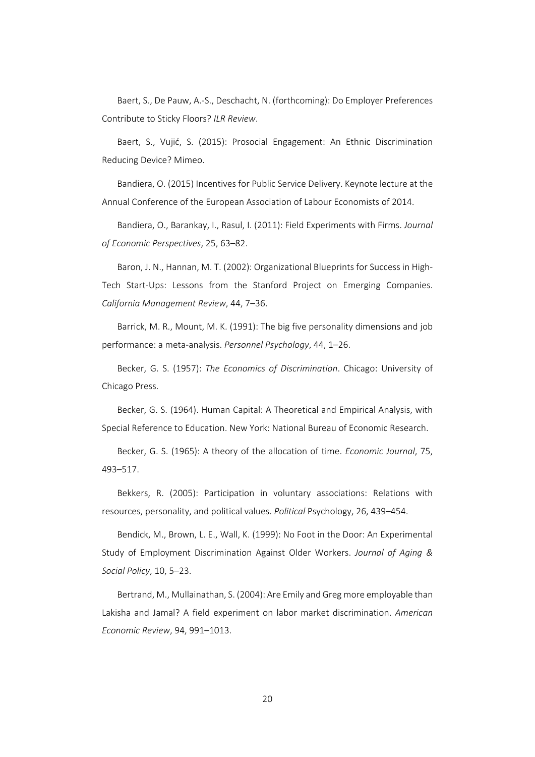Baert, S., De Pauw, A.‐S., Deschacht, N. (forthcoming): Do Employer Preferences Contribute to Sticky Floors? *ILR Review*.

Baert, S., Vujić, S. (2015): Prosocial Engagement: An Ethnic Discrimination Reducing Device? Mimeo.

Bandiera, O. (2015) Incentives for Public Service Delivery. Keynote lecture at the Annual Conference of the European Association of Labour Economists of 2014.

Bandiera, O., Barankay, I., Rasul, I. (2011): Field Experiments with Firms. *Journal of Economic Perspectives*, 25, 63–82.

Baron, J. N., Hannan, M. T. (2002): Organizational Blueprints for Success in High-Tech Start-Ups: Lessons from the Stanford Project on Emerging Companies. *California Management Review*, 44, 7–36.

Barrick, M. R., Mount, M. K. (1991): The big five personality dimensions and job performance: a meta‐analysis. *Personnel Psychology*, 44, 1–26.

Becker, G. S. (1957): *The Economics of Discrimination*. Chicago: University of Chicago Press.

Becker, G. S. (1964). Human Capital: A Theoretical and Empirical Analysis, with Special Reference to Education. New York: National Bureau of Economic Research.

Becker, G. S. (1965): A theory of the allocation of time. *Economic Journal*, 75, 493–517.

Bekkers, R. (2005): Participation in voluntary associations: Relations with resources, personality, and political values. *Political* Psychology, 26, 439–454.

Bendick, M., Brown, L. E., Wall, K. (1999): No Foot in the Door: An Experimental Study of Employment Discrimination Against Older Workers. *Journal of Aging & Social Policy*, 10, 5–23.

Bertrand, M., Mullainathan, S. (2004): Are Emily and Greg more employable than Lakisha and Jamal? A field experiment on labor market discrimination. *American Economic Review*, 94, 991–1013.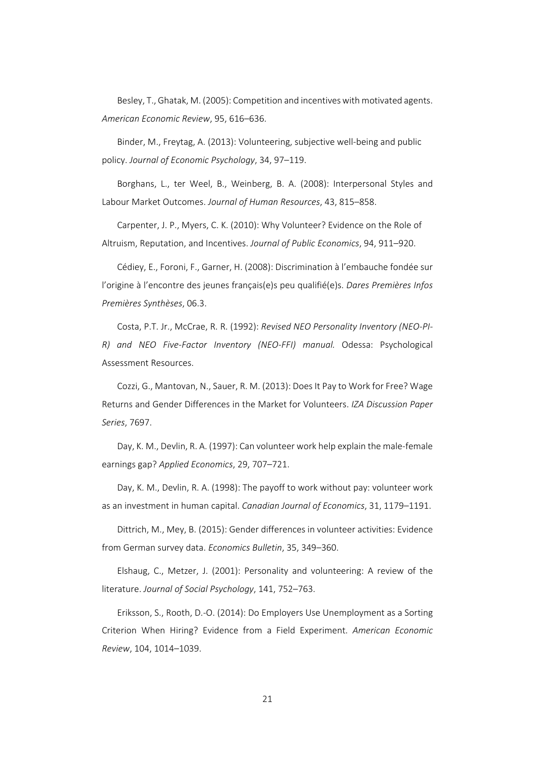Besley, T., Ghatak, M. (2005): Competition and incentiveswith motivated agents. *American Economic Review*, 95, 616–636.

Binder, M., Freytag, A. (2013): Volunteering, subjective well‐being and public policy. *Journal of Economic Psychology*, 34, 97–119.

Borghans, L., ter Weel, B., Weinberg, B. A. (2008): Interpersonal Styles and Labour Market Outcomes. *Journal of Human Resources*, 43, 815–858.

Carpenter, J. P., Myers, C. K. (2010): Why Volunteer? Evidence on the Role of Altruism, Reputation, and Incentives. *Journal of Public Economics*, 94, 911–920.

Cédiey, E., Foroni, F., Garner, H. (2008): Discrimination à l'embauche fondée sur l'origine à l'encontre des jeunes français(e)s peu qualifié(e)s. *Dares Premières Infos Premières Synthèses*, 06.3.

Costa, P.T. Jr., McCrae, R. R. (1992): *Revised NEO Personality Inventory (NEO‐PI‐ R) and NEO Five‐Factor Inventory (NEO‐FFI) manual.* Odessa: Psychological Assessment Resources.

Cozzi, G., Mantovan, N., Sauer, R. M. (2013): Does It Pay to Work for Free? Wage Returns and Gender Differences in the Market for Volunteers. *IZA Discussion Paper Series*, 7697.

Day, K. M., Devlin, R. A. (1997): Can volunteer work help explain the male‐female earnings gap? *Applied Economics*, 29, 707–721.

Day, K. M., Devlin, R. A. (1998): The payoff to work without pay: volunteer work as an investment in human capital. *Canadian Journal of Economics*, 31, 1179–1191.

Dittrich, M., Mey, B. (2015): Gender differences in volunteer activities: Evidence from German survey data. *Economics Bulletin*, 35, 349–360.

Elshaug, C., Metzer, J. (2001): Personality and volunteering: A review of the literature. *Journal of Social Psychology*, 141, 752–763.

Eriksson, S., Rooth, D.‐O. (2014): Do Employers Use Unemployment as a Sorting Criterion When Hiring? Evidence from a Field Experiment. *American Economic Review*, 104, 1014–1039.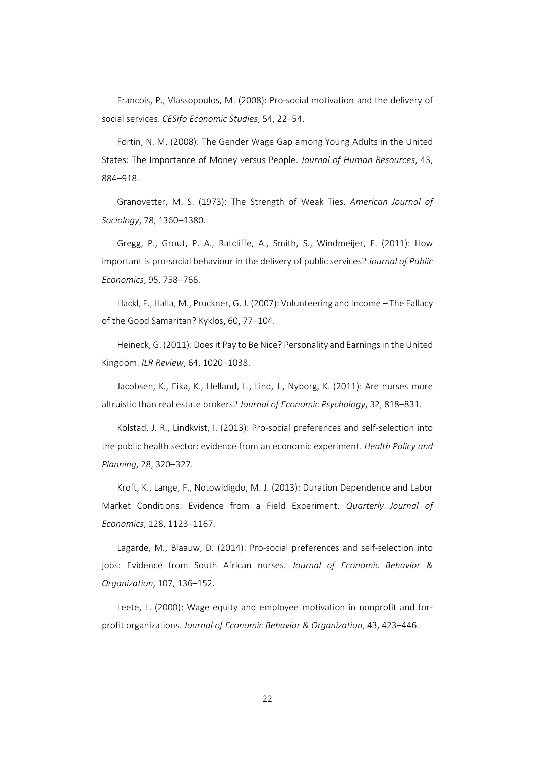Francois, P., Vlassopoulos, M. (2008): Pro‐social motivation and the delivery of social services. *CESifo Economic Studies*, 54, 22–54.

Fortin, N. M. (2008): The Gender Wage Gap among Young Adults in the United States: The Importance of Money versus People. *Journal of Human Resources*, 43, 884–918.

Granovetter, M. S. (1973): The Strength of Weak Ties. *American Journal of Sociology*, 78, 1360–1380.

Gregg, P., Grout, P. A., Ratcliffe, A., Smith, S., Windmeijer, F. (2011): How important is pro‐social behaviour in the delivery of public services? *Journal of Public Economics*, 95, 758–766.

Hackl, F., Halla, M., Pruckner, G. J. (2007): Volunteering and Income – The Fallacy of the Good Samaritan? Kyklos, 60, 77–104.

Heineck, G. (2011): Does it Pay to Be Nice? Personality and Earnings in the United Kingdom. *ILR Review*, 64, 1020–1038.

Jacobsen, K., Eika, K., Helland, L., Lind, J., Nyborg, K. (2011): Are nurses more altruistic than real estate brokers? *Journal of Economic Psychology*, 32, 818–831.

Kolstad, J. R., Lindkvist, I. (2013): Pro‐social preferences and self‐selection into the public health sector: evidence from an economic experiment. *Health Policy and Planning*, 28, 320–327.

Kroft, K., Lange, F., Notowidigdo, M. J. (2013): Duration Dependence and Labor Market Conditions: Evidence from a Field Experiment. *Quarterly Journal of Economics*, 128, 1123–1167.

Lagarde, M., Blaauw, D. (2014): Pro‐social preferences and self‐selection into jobs: Evidence from South African nurses. *Journal of Economic Behavior & Organization*, 107, 136–152.

Leete, L. (2000): Wage equity and employee motivation in nonprofit and forprofit organizations. *Journal of Economic Behavior & Organization*, 43, 423–446.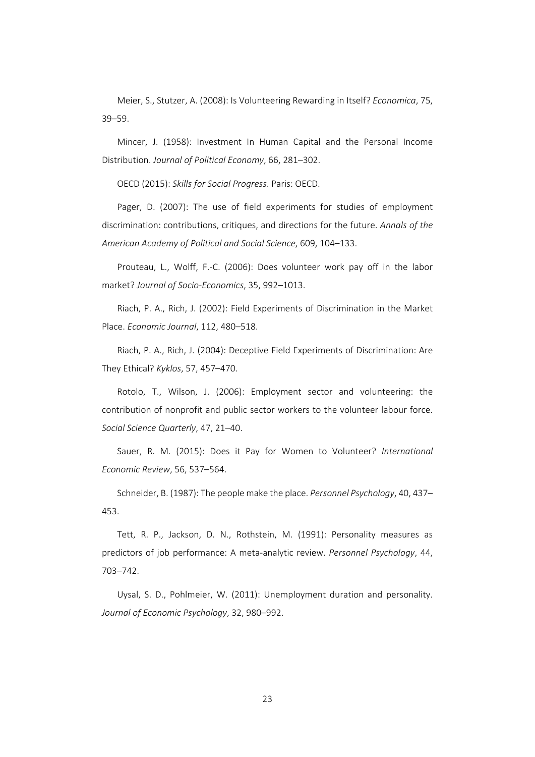Meier, S., Stutzer, A. (2008): Is Volunteering Rewarding in Itself? *Economica*, 75, 39–59.

Mincer, J. (1958): Investment In Human Capital and the Personal Income Distribution. *Journal of Political Economy*, 66, 281–302.

OECD (2015): *Skills for Social Progress*. Paris: OECD.

Pager, D. (2007): The use of field experiments for studies of employment discrimination: contributions, critiques, and directions for the future. *Annals of the American Academy of Political and Social Science*, 609, 104–133.

Prouteau, L., Wolff, F.‐C. (2006): Does volunteer work pay off in the labor market? *Journal of Socio‐Economics*, 35, 992–1013.

Riach, P. A., Rich, J. (2002): Field Experiments of Discrimination in the Market Place. *Economic Journal*, 112, 480–518.

Riach, P. A., Rich, J. (2004): Deceptive Field Experiments of Discrimination: Are They Ethical? *Kyklos*, 57, 457–470.

Rotolo, T., Wilson, J. (2006): Employment sector and volunteering: the contribution of nonprofit and public sector workers to the volunteer labour force. *Social Science Quarterly*, 47, 21–40.

Sauer, R. M. (2015): Does it Pay for Women to Volunteer? *International Economic Review*, 56, 537–564.

Schneider, B. (1987): The people make the place. *Personnel Psychology*, 40, 437– 453.

Tett, R. P., Jackson, D. N., Rothstein, M. (1991): Personality measures as predictors of job performance: A meta‐analytic review. *Personnel Psychology*, 44, 703–742.

Uysal, S. D., Pohlmeier, W. (2011): Unemployment duration and personality. *Journal of Economic Psychology*, 32, 980–992.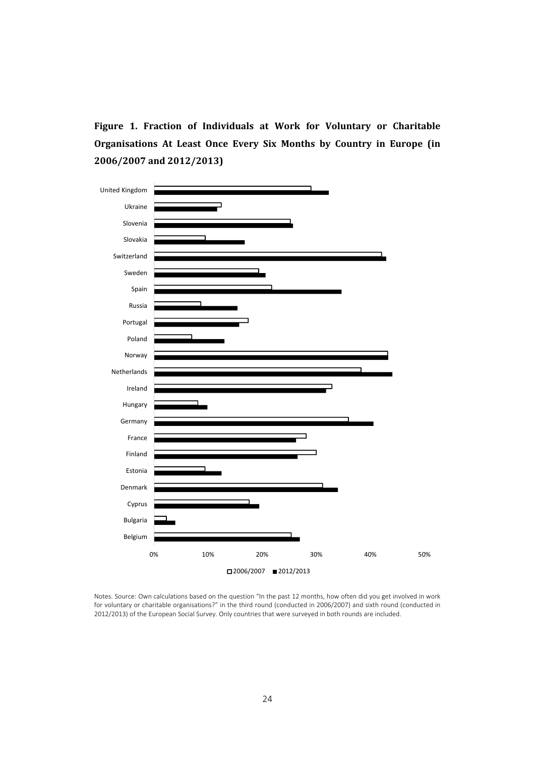**Figure 1. Fraction of Individuals at Work for Voluntary or Charitable Organisations At Least Once Every Six Months by Country in Europe (in 2006/2007 and 2012/2013)**



Notes. Source: Own calculations based on the question "In the past 12 months, how often did you get involved in work for voluntary or charitable organisations?" in the third round (conducted in 2006/2007) and sixth round (conducted in 2012/2013) of the European Social Survey. Only countries that were surveyed in both rounds are included.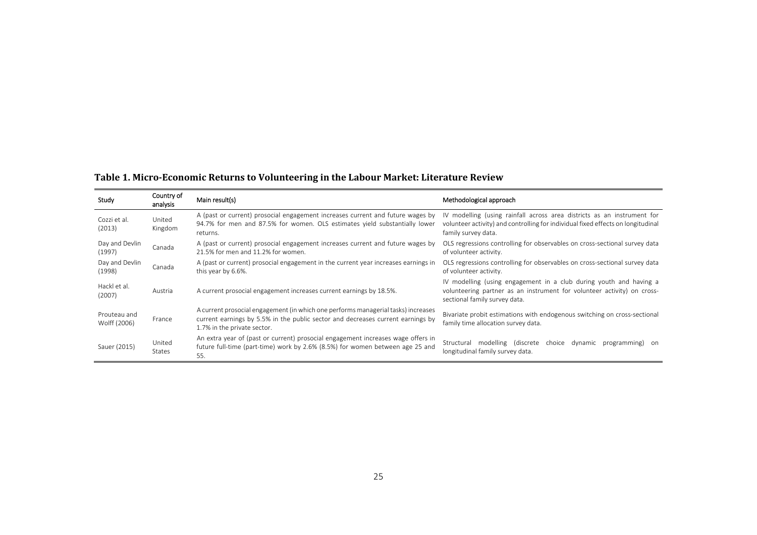| Study                        | Country of<br>analysis  | Main result(s)                                                                                                                                                                                      | Methodological approach                                                                                                                                                            |
|------------------------------|-------------------------|-----------------------------------------------------------------------------------------------------------------------------------------------------------------------------------------------------|------------------------------------------------------------------------------------------------------------------------------------------------------------------------------------|
| Cozzi et al.<br>(2013)       | United<br>Kingdom       | A (past or current) prosocial engagement increases current and future wages by<br>94.7% for men and 87.5% for women. OLS estimates yield substantially lower<br>returns.                            | IV modelling (using rainfall across area districts as an instrument for<br>volunteer activity) and controlling for individual fixed effects on longitudinal<br>family survey data. |
| Day and Devlin<br>(1997)     | Canada                  | A (past or current) prosocial engagement increases current and future wages by<br>21.5% for men and 11.2% for women.                                                                                | OLS regressions controlling for observables on cross-sectional survey data<br>of volunteer activity.                                                                               |
| Day and Devlin<br>(1998)     | Canada                  | A (past or current) prosocial engagement in the current year increases earnings in<br>this year by 6.6%.                                                                                            | OLS regressions controlling for observables on cross-sectional survey data<br>of volunteer activity.                                                                               |
| Hackl et al.<br>(2007)       | Austria                 | A current prosocial engagement increases current earnings by 18.5%.                                                                                                                                 | IV modelling (using engagement in a club during youth and having a<br>volunteering partner as an instrument for volunteer activity) on cross-<br>sectional family survey data.     |
| Prouteau and<br>Wolff (2006) | France                  | A current prosocial engagement (in which one performs managerial tasks) increases<br>current earnings by 5.5% in the public sector and decreases current earnings by<br>1.7% in the private sector. | Bivariate probit estimations with endogenous switching on cross-sectional<br>family time allocation survey data.                                                                   |
| Sauer (2015)                 | United<br><b>States</b> | An extra year of (past or current) prosocial engagement increases wage offers in<br>future full-time (part-time) work by 2.6% (8.5%) for women between age 25 and<br>55.                            | Structural modelling (discrete choice dynamic<br>programming) on<br>longitudinal family survey data.                                                                               |

#### **Table 1. Micro‐Economic Returns to Volunteering in the Labour Market: Literature Review**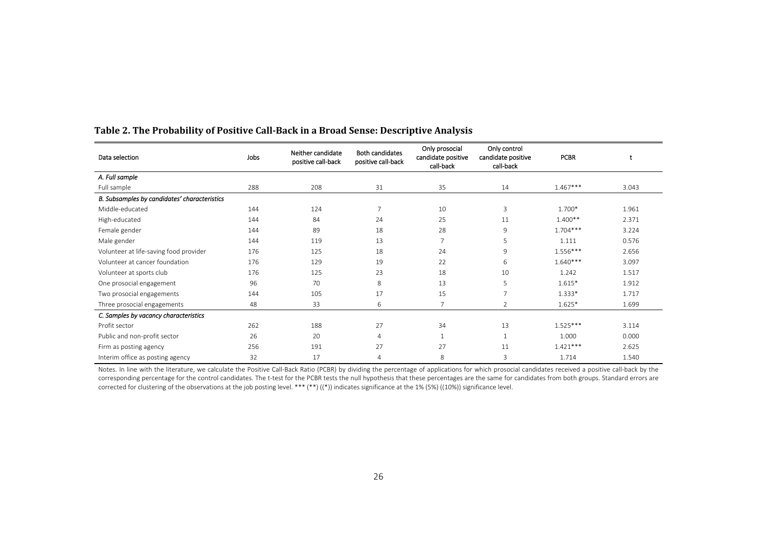| Data selection                               | Jobs | Neither candidate<br>positive call-back | <b>Both candidates</b><br>positive call-back | Only prosocial<br>candidate positive<br>call-back | Only control<br>candidate positive<br>call-back | <b>PCBR</b> | t     |
|----------------------------------------------|------|-----------------------------------------|----------------------------------------------|---------------------------------------------------|-------------------------------------------------|-------------|-------|
| A. Full sample                               |      |                                         |                                              |                                                   |                                                 |             |       |
| Full sample                                  | 288  | 208                                     | 31                                           | 35                                                | 14                                              | $1.467***$  | 3.043 |
| B. Subsamples by candidates' characteristics |      |                                         |                                              |                                                   |                                                 |             |       |
| Middle-educated                              | 144  | 124                                     | $\overline{7}$                               | 10                                                | 3                                               | 1.700*      | 1.961 |
| High-educated                                | 144  | 84                                      | 24                                           | 25                                                | 11                                              | $1.400**$   | 2.371 |
| Female gender                                | 144  | 89                                      | 18                                           | 28                                                | 9                                               | $1.704***$  | 3.224 |
| Male gender                                  | 144  | 119                                     | 13                                           | $\overline{7}$                                    | 5                                               | 1.111       | 0.576 |
| Volunteer at life-saving food provider       | 176  | 125                                     | 18                                           | 24                                                | 9                                               | $1.556***$  | 2.656 |
| Volunteer at cancer foundation               | 176  | 129                                     | 19                                           | 22                                                | 6                                               | $1.640***$  | 3.097 |
| Volunteer at sports club                     | 176  | 125                                     | 23                                           | 18                                                | 10                                              | 1.242       | 1.517 |
| One prosocial engagement                     | 96   | 70                                      | 8                                            | 13                                                | 5                                               | $1.615*$    | 1.912 |
| Two prosocial engagements                    | 144  | 105                                     | 17                                           | 15                                                | 7                                               | $1.333*$    | 1.717 |
| Three prosocial engagements                  | 48   | 33                                      | 6                                            | $\overline{7}$                                    | $\overline{2}$                                  | $1.625*$    | 1.699 |
| C. Samples by vacancy characteristics        |      |                                         |                                              |                                                   |                                                 |             |       |
| Profit sector                                | 262  | 188                                     | 27                                           | 34                                                | 13                                              | $1.525***$  | 3.114 |
| Public and non-profit sector                 | 26   | 20                                      | $\overline{4}$                               | $\mathbf{1}$                                      | $\mathbf{1}$                                    | 1.000       | 0.000 |
| Firm as posting agency                       | 256  | 191                                     | 27                                           | 27                                                | 11                                              | $1.421***$  | 2.625 |
| Interim office as posting agency             | 32   | 17                                      | $\overline{4}$                               | 8                                                 | 3                                               | 1.714       | 1.540 |

#### **Table 2. The Probability of Positive Call‐Back in <sup>a</sup> Broad Sense: Descriptive Analysis**

Notes. In line with the literature, we calculate the Positive Call‐Back Ratio (PCBR) by dividing the percentage of applications for which prosocial candidates received <sup>a</sup> positive call‐back by the corresponding percentage for the control candidates. The t‐test for the PCBR tests the null hypothesis that these percentages are the same for candidates from both groups. Standard errors are corrected for clustering of the observations at the job posting level. \*\*\* (\*\*) ((\*)) indicates significance at the 1% (5%) ((10%)) significance level.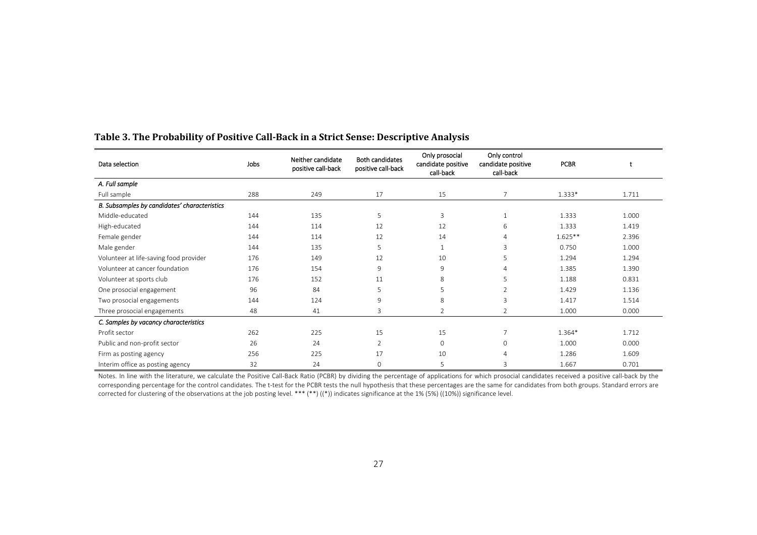| Data selection                               | Jobs | Neither candidate<br>positive call-back | <b>Both candidates</b><br>positive call-back | Only prosocial<br>candidate positive<br>call-back | Only control<br>candidate positive<br>call-back | <b>PCBR</b> |       |
|----------------------------------------------|------|-----------------------------------------|----------------------------------------------|---------------------------------------------------|-------------------------------------------------|-------------|-------|
| A. Full sample                               |      |                                         |                                              |                                                   |                                                 |             |       |
| Full sample                                  | 288  | 249                                     | 17                                           | 15                                                | $\overline{7}$                                  | 1.333*      | 1.711 |
| B. Subsamples by candidates' characteristics |      |                                         |                                              |                                                   |                                                 |             |       |
| Middle-educated                              | 144  | 135                                     | 5                                            | 3                                                 | 1                                               | 1.333       | 1.000 |
| High-educated                                | 144  | 114                                     | 12                                           | 12                                                | 6                                               | 1.333       | 1.419 |
| Female gender                                | 144  | 114                                     | 12                                           | 14                                                | 4                                               | $1.625**$   | 2.396 |
| Male gender                                  | 144  | 135                                     | 5                                            |                                                   | 3                                               | 0.750       | 1.000 |
| Volunteer at life-saving food provider       | 176  | 149                                     | 12                                           | 10                                                | 5                                               | 1.294       | 1.294 |
| Volunteer at cancer foundation               | 176  | 154                                     | 9                                            | 9                                                 | 4                                               | 1.385       | 1.390 |
| Volunteer at sports club                     | 176  | 152                                     | 11                                           | 8                                                 | 5                                               | 1.188       | 0.831 |
| One prosocial engagement                     | 96   | 84                                      | 5                                            | 5                                                 | $\overline{2}$                                  | 1.429       | 1.136 |
| Two prosocial engagements                    | 144  | 124                                     | 9                                            | 8                                                 | 3                                               | 1.417       | 1.514 |
| Three prosocial engagements                  | 48   | 41                                      | 3                                            | 2                                                 | $\overline{2}$                                  | 1.000       | 0.000 |
| C. Samples by vacancy characteristics        |      |                                         |                                              |                                                   |                                                 |             |       |
| Profit sector                                | 262  | 225                                     | 15                                           | 15                                                | $\overline{7}$                                  | 1.364*      | 1.712 |
| Public and non-profit sector                 | 26   | 24                                      | $\overline{2}$                               | $\mathbf 0$                                       | 0                                               | 1.000       | 0.000 |
| Firm as posting agency                       | 256  | 225                                     | 17                                           | 10                                                | 4                                               | 1.286       | 1.609 |
| Interim office as posting agency             | 32   | 24                                      | $\mathbf{O}$                                 | 5                                                 | 3                                               | 1.667       | 0.701 |

#### **Table 3. The Probability of Positive Call‐Back in <sup>a</sup> Strict Sense: Descriptive Analysis**

Notes. In line with the literature, we calculate the Positive Call‐Back Ratio (PCBR) by dividing the percentage of applications for which prosocial candidates received <sup>a</sup> positive call‐back by the corresponding percentage for the control candidates. The t‐test for the PCBR tests the null hypothesis that these percentages are the same for candidates from both groups. Standard errors are corrected for clustering of the observations at the job posting level. \*\*\* (\*\*) ((\*)) indicates significance at the 1% (5%) ((10%)) significance level.